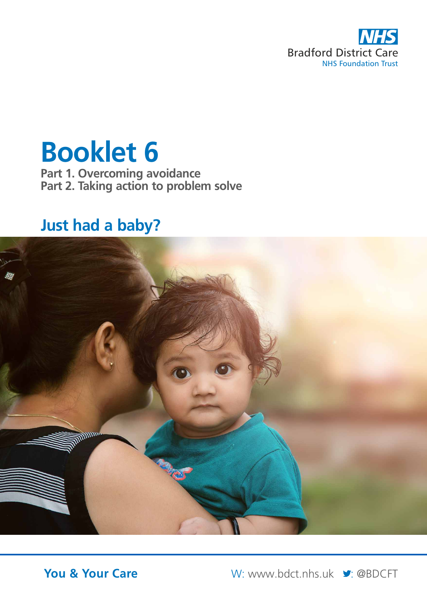

# **Booklet 6**

**Part 1. Overcoming avoidance Part 2. Taking action to problem solve**

# **Just had a baby?**



**You & Your Care** W: www.bdct.nhs.uk **Y:** @BDCFT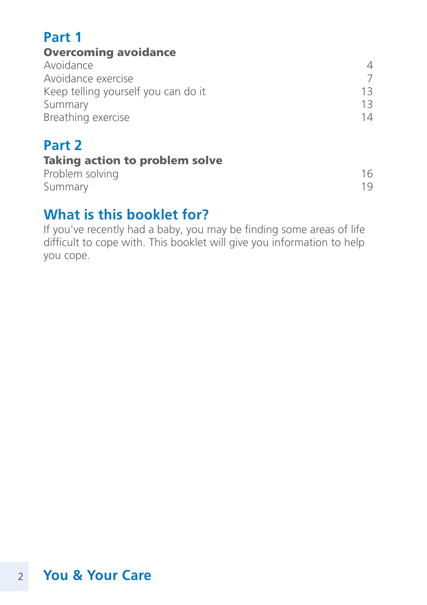### **Part 1**

### Overcoming avoidance

| Avoidance                           |     |
|-------------------------------------|-----|
| Avoidance exercise                  |     |
| Keep telling yourself you can do it | 1 マ |
| Summary                             | 13. |
| Breathing exercise                  | 14  |

### **Part 2**

|                 |  | <b>Taking action to problem solve</b> |  |
|-----------------|--|---------------------------------------|--|
| Problem solving |  | 16                                    |  |
| Summary         |  | 19                                    |  |

### **What is this booklet for?**

If you've recently had a baby, you may be finding some areas of life difficult to cope with. This booklet will give you information to help you cope.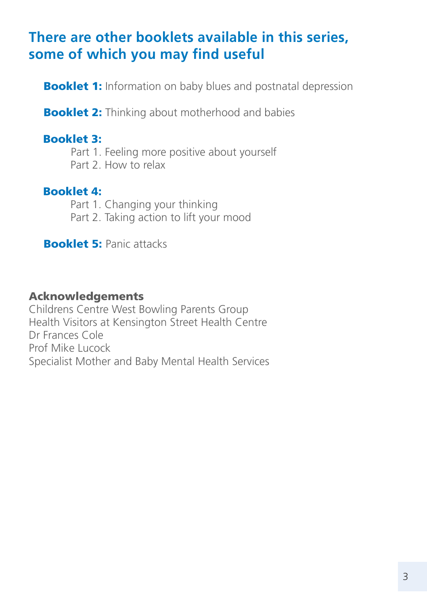### **There are other booklets available in this series, some of which you may find useful**

**Booklet 1:** Information on baby blues and postnatal depression

**Booklet 2:** Thinking about motherhood and babies

#### Booklet 3:

Part 1. Feeling more positive about yourself Part 2. How to relax

### Booklet 4:

Part 1. Changing your thinking Part 2. Taking action to lift your mood

**Booklet 5: Panic attacks** 

#### Acknowledgements

Childrens Centre West Bowling Parents Group Health Visitors at Kensington Street Health Centre Dr Frances Cole Prof Mike Lucock Specialist Mother and Baby Mental Health Services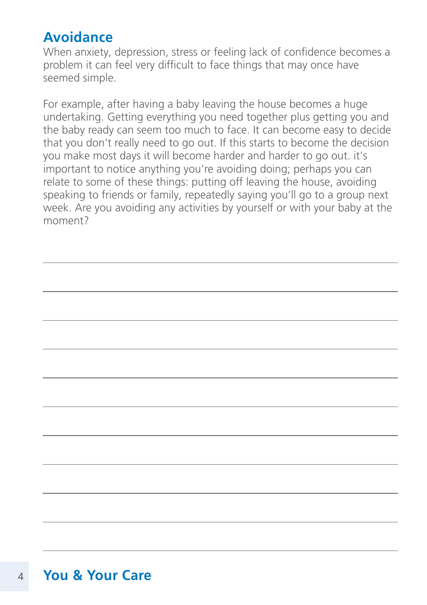### **Avoidance**

When anxiety, depression, stress or feeling lack of confidence becomes a problem it can feel very difficult to face things that may once have seemed simple.

For example, after having a baby leaving the house becomes a huge undertaking. Getting everything you need together plus getting you and the baby ready can seem too much to face. It can become easy to decide that you don't really need to go out. If this starts to become the decision you make most days it will become harder and harder to go out. it's important to notice anything you're avoiding doing; perhaps you can relate to some of these things: putting off leaving the house, avoiding speaking to friends or family, repeatedly saying you'll go to a group next week. Are you avoiding any activities by yourself or with your baby at the moment?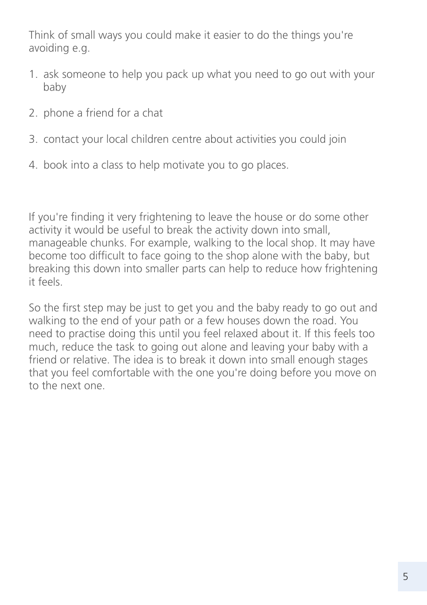Think of small ways you could make it easier to do the things you're avoiding e.g.

- 1. ask someone to help you pack up what you need to go out with your baby
- 2. phone a friend for a chat
- 3. contact your local children centre about activities you could join
- 4. book into a class to help motivate you to go places.

If you're finding it very frightening to leave the house or do some other activity it would be useful to break the activity down into small, manageable chunks. For example, walking to the local shop. It may have become too difficult to face going to the shop alone with the baby, but breaking this down into smaller parts can help to reduce how frightening it feels.

So the first step may be just to get you and the baby ready to go out and walking to the end of your path or a few houses down the road. You need to practise doing this until you feel relaxed about it. If this feels too much, reduce the task to going out alone and leaving your baby with a friend or relative. The idea is to break it down into small enough stages that you feel comfortable with the one you're doing before you move on to the next one.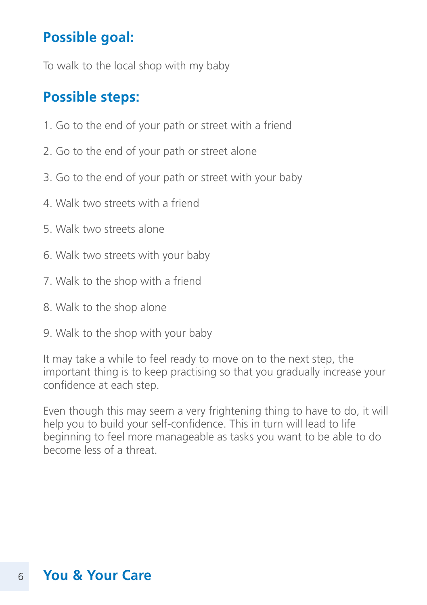### **Possible goal:**

To walk to the local shop with my baby

### **Possible steps:**

- 1. Go to the end of your path or street with a friend
- 2. Go to the end of your path or street alone
- 3. Go to the end of your path or street with your baby
- 4. Walk two streets with a friend
- 5. Walk two streets alone
- 6. Walk two streets with your baby
- 7. Walk to the shop with a friend
- 8. Walk to the shop alone
- 9. Walk to the shop with your baby

It may take a while to feel ready to move on to the next step, the important thing is to keep practising so that you gradually increase your confidence at each step.

Even though this may seem a very frightening thing to have to do, it will help you to build your self-confidence. This in turn will lead to life beginning to feel more manageable as tasks you want to be able to do become less of a threat.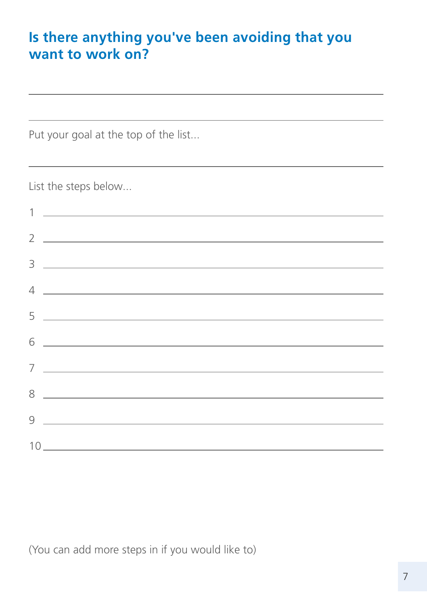### **Is there anything you've been avoiding that you want to work on?**

Put your goal at the top of the list...

List the steps below...

| 2 $\sim$                                                                                                                                                                                                                                                                                                                                                                                                                                                                                              |
|-------------------------------------------------------------------------------------------------------------------------------------------------------------------------------------------------------------------------------------------------------------------------------------------------------------------------------------------------------------------------------------------------------------------------------------------------------------------------------------------------------|
| $\begin{tabular}{c} 3 & \begin{tabular}{@{}c@{}} \quad \quad & \quad \quad & \quad \quad \\ \hline \end{tabular} \end{tabular}$                                                                                                                                                                                                                                                                                                                                                                       |
| $4 \overline{\phantom{a}}$                                                                                                                                                                                                                                                                                                                                                                                                                                                                            |
| $5 -$                                                                                                                                                                                                                                                                                                                                                                                                                                                                                                 |
| $6 \overline{\phantom{a}}$                                                                                                                                                                                                                                                                                                                                                                                                                                                                            |
|                                                                                                                                                                                                                                                                                                                                                                                                                                                                                                       |
| $7 \overline{\phantom{a}}$                                                                                                                                                                                                                                                                                                                                                                                                                                                                            |
| $8 \begin{tabular}{l} \multicolumn{2}{c} {\textbf{8}} \\ \multicolumn{2}{c} {\textbf{8}} \\ \multicolumn{2}{c} {\textbf{8}} \\ \multicolumn{2}{c} {\textbf{8}} \\ \multicolumn{2}{c} {\textbf{8}} \\ \multicolumn{2}{c} {\textbf{8}} \\ \multicolumn{2}{c} {\textbf{8}} \\ \multicolumn{2}{c} {\textbf{8}} \\ \multicolumn{2}{c} {\textbf{8}} \\ \multicolumn{2}{c} {\textbf{8}} \\ \multicolumn{2}{c} {\textbf{8}} \\ \multicolumn{2}{c} {\textbf{8}} \\ \multicolumn{2}{c} {\textbf{8}} \\ \multic$ |
| $9 \begin{tabular}{l} \hline \rule{0.2cm}{0.1cm} \rule{0.2cm}{0.1cm} \rule{0.2cm}{0.1cm} \rule{0.2cm}{0.1cm} \rule{0.2cm}{0.1cm} \rule{0.2cm}{0.1cm} \rule{0.2cm}{0.1cm} \rule{0.2cm}{0.1cm} \rule{0.2cm}{0.1cm} \rule{0.2cm}{0.1cm} \rule{0.2cm}{0.1cm} \rule{0.2cm}{0.1cm} \rule{0.2cm}{0.1cm} \rule{0.2cm}{0.1cm} \rule{0.2cm}{0.1cm} \rule{0.2cm}{0.1cm}$                                                                                                                                         |
|                                                                                                                                                                                                                                                                                                                                                                                                                                                                                                       |
| $10 \underline{\hspace{2cm}} \underline{\hspace{2cm}}$                                                                                                                                                                                                                                                                                                                                                                                                                                                |

(You can add more steps in if you would like to)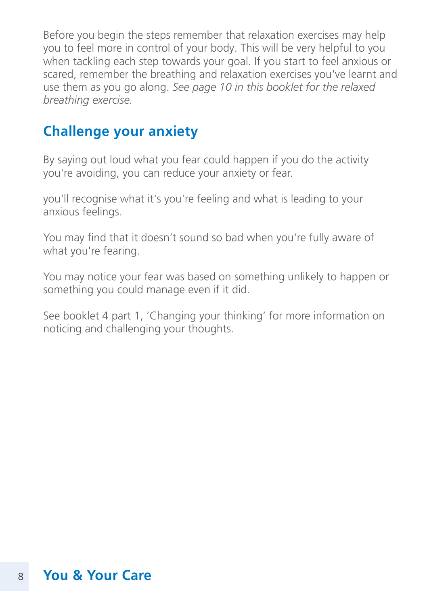Before you begin the steps remember that relaxation exercises may help you to feel more in control of your body. This will be very helpful to you when tackling each step towards your goal. If you start to feel anxious or scared, remember the breathing and relaxation exercises you've learnt and use them as you go along. *See page 10 in this booklet for the relaxed breathing exercise.*

### **Challenge your anxiety**

By saying out loud what you fear could happen if you do the activity you're avoiding, you can reduce your anxiety or fear.

you'll recognise what it's you're feeling and what is leading to your anxious feelings.

You may find that it doesn't sound so bad when you're fully aware of what you're fearing.

You may notice your fear was based on something unlikely to happen or something you could manage even if it did.

See booklet 4 part 1, 'Changing your thinking' for more information on noticing and challenging your thoughts.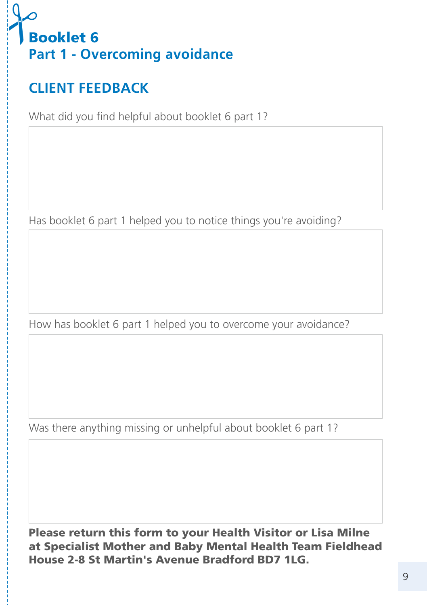

# **CLIENT FEEDBACK**

What did you find helpful about booklet 6 part 1?

Has booklet 6 part 1 helped you to notice things you're avoiding?

How has booklet 6 part 1 helped you to overcome your avoidance?

Was there anything missing or unhelpful about booklet 6 part 1?

Please return this form to your Health Visitor or Lisa Milne at Specialist Mother and Baby Mental Health Team Fieldhead House 2-8 St Martin's Avenue Bradford BD7 1LG.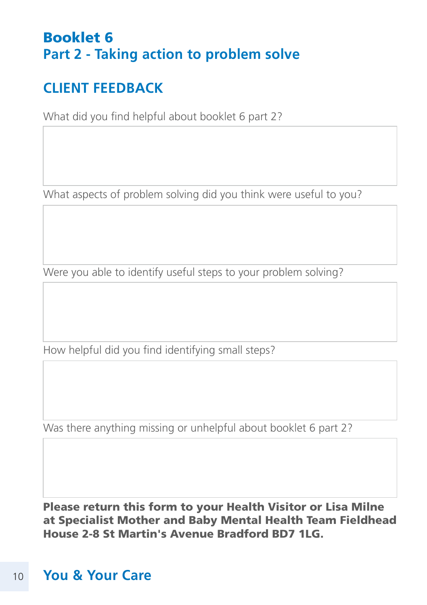### Booklet 6 **Part 2 - Taking action to problem solve**

# **CLIENT FEEDBACK**

What did you find helpful about booklet 6 part 2?

What aspects of problem solving did you think were useful to you?

Were you able to identify useful steps to your problem solving?

How helpful did you find identifying small steps?

Was there anything missing or unhelpful about booklet 6 part 2?

Please return this form to your Health Visitor or Lisa Milne at Specialist Mother and Baby Mental Health Team Fieldhead House 2-8 St Martin's Avenue Bradford BD7 1LG.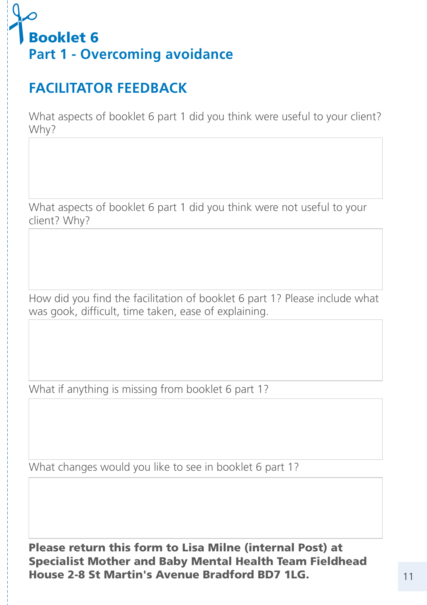# Booklet 6 **Part 1 - Overcoming avoidance**  $\frac{1}{\sqrt{2}}$

# **FACILITATOR FEEDBACK**

What aspects of booklet 6 part 1 did you think were useful to your client? Why?

What aspects of booklet 6 part 1 did you think were not useful to your client? Why?

How did you find the facilitation of booklet 6 part 1? Please include what was gook, difficult, time taken, ease of explaining.

What if anything is missing from booklet 6 part 1?

What changes would you like to see in booklet 6 part 1?

Please return this form to Lisa Milne (internal Post) at Specialist Mother and Baby Mental Health Team Fieldhead House 2-8 St Martin's Avenue Bradford BD7 1LG.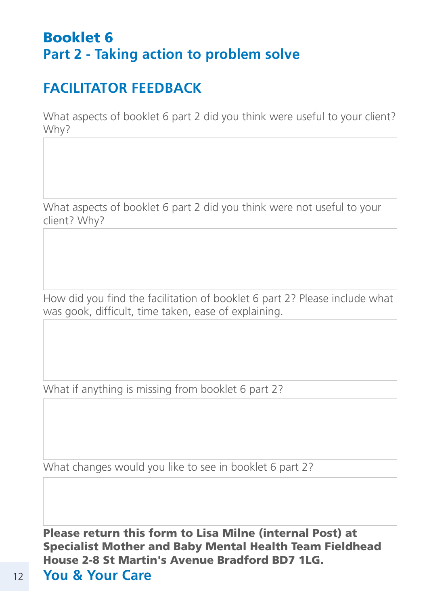### Booklet 6 **Part 2 - Taking action to problem solve**

# **FACILITATOR FEEDBACK**

What aspects of booklet 6 part 2 did you think were useful to your client? Why?

What aspects of booklet 6 part 2 did you think were not useful to your client? Why?

How did you find the facilitation of booklet 6 part 2? Please include what was gook, difficult, time taken, ease of explaining.

What if anything is missing from booklet 6 part 2?

What changes would you like to see in booklet 6 part 2?

Please return this form to Lisa Milne (internal Post) at Specialist Mother and Baby Mental Health Team Fieldhead House 2-8 St Martin's Avenue Bradford BD7 1LG.

12 **You & Your Care**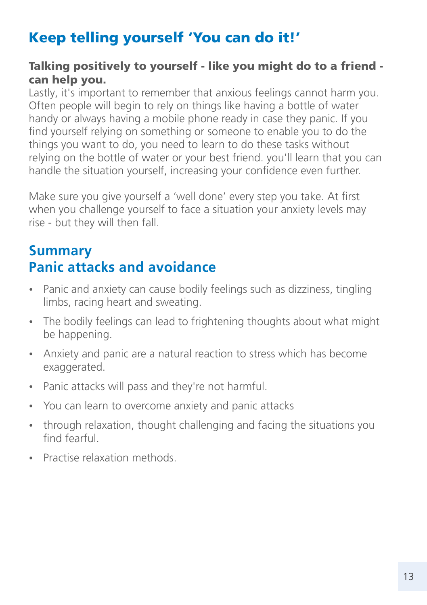# Keep telling yourself 'You can do it!'

### Talking positively to yourself - like you might do to a friend can help you.

Lastly, it's important to remember that anxious feelings cannot harm you. Often people will begin to rely on things like having a bottle of water handy or always having a mobile phone ready in case they panic. If you find yourself relying on something or someone to enable you to do the things you want to do, you need to learn to do these tasks without relying on the bottle of water or your best friend. you'll learn that you can handle the situation yourself, increasing your confidence even further.

Make sure you give yourself a 'well done' every step you take. At first when you challenge yourself to face a situation your anxiety levels may rise - but they will then fall.

### **Summary Panic attacks and avoidance**

- Panic and anxiety can cause bodily feelings such as dizziness, tingling limbs, racing heart and sweating.
- The bodily feelings can lead to frightening thoughts about what might be happening.
- Anxiety and panic are a natural reaction to stress which has become exaggerated.
- Panic attacks will pass and they're not harmful.
- You can learn to overcome anxiety and panic attacks
- through relaxation, thought challenging and facing the situations you find fearful.
- Practise relaxation methods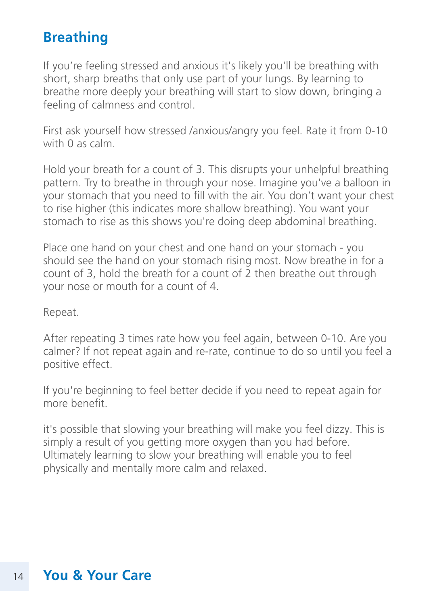### **Breathing**

If you're feeling stressed and anxious it's likely you'll be breathing with short, sharp breaths that only use part of your lungs. By learning to breathe more deeply your breathing will start to slow down, bringing a feeling of calmness and control.

First ask yourself how stressed /anxious/angry you feel. Rate it from 0-10 with 0 as calm.

Hold your breath for a count of 3. This disrupts your unhelpful breathing pattern. Try to breathe in through your nose. Imagine you've a balloon in your stomach that you need to fill with the air. You don't want your chest to rise higher (this indicates more shallow breathing). You want your stomach to rise as this shows you're doing deep abdominal breathing.

Place one hand on your chest and one hand on your stomach - you should see the hand on your stomach rising most. Now breathe in for a count of 3, hold the breath for a count of 2 then breathe out through your nose or mouth for a count of 4.

Repeat.

After repeating 3 times rate how you feel again, between 0-10. Are you calmer? If not repeat again and re-rate, continue to do so until you feel a positive effect.

If you're beginning to feel better decide if you need to repeat again for more benefit.

it's possible that slowing your breathing will make you feel dizzy. This is simply a result of you getting more oxygen than you had before. Ultimately learning to slow your breathing will enable you to feel physically and mentally more calm and relaxed.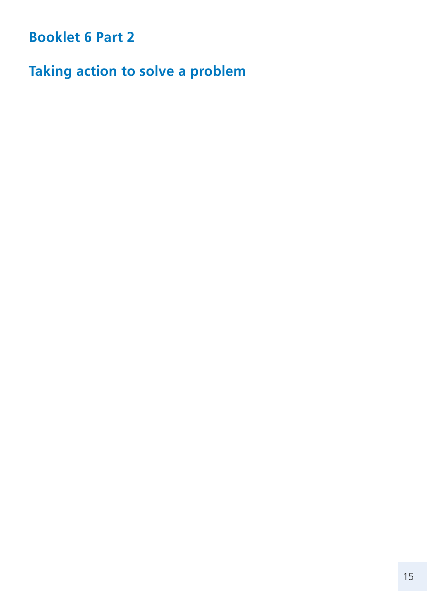**Booklet 6 Part 2**

**Taking action to solve a problem**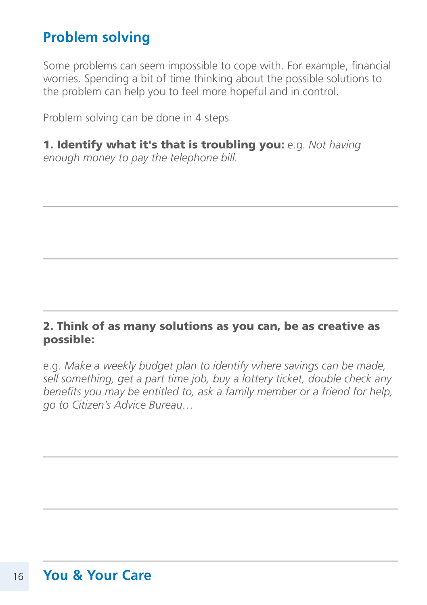### **Problem solving**

Some problems can seem impossible to cope with. For example, financial worries. Spending a bit of time thinking about the possible solutions to the problem can help you to feel more hopeful and in control.

Problem solving can be done in 4 steps

1. Identify what it's that is troubling you: e.g. *Not having enough money to pay the telephone bill.*

#### 2. Think of as many solutions as you can, be as creative as possible:

e.g. *Make a weekly budget plan to identify where savings can be made, sell something, get a part time job, buy a lottery ticket, double check any benefits you may be entitled to, ask a family member or a friend for help, go to Citizen's Advice Bureau…*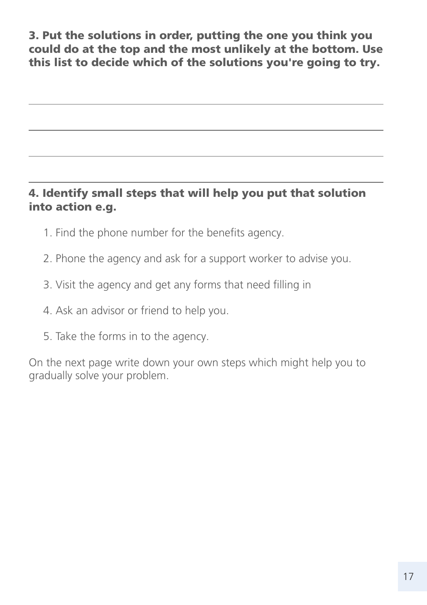3. Put the solutions in order, putting the one you think you could do at the top and the most unlikely at the bottom. Use this list to decide which of the solutions you're going to try.

### 4. Identify small steps that will help you put that solution into action e.g.

- 1. Find the phone number for the benefits agency.
- 2. Phone the agency and ask for a support worker to advise you.
- 3. Visit the agency and get any forms that need filling in
- 4. Ask an advisor or friend to help you.
- 5. Take the forms in to the agency.

On the next page write down your own steps which might help you to gradually solve your problem.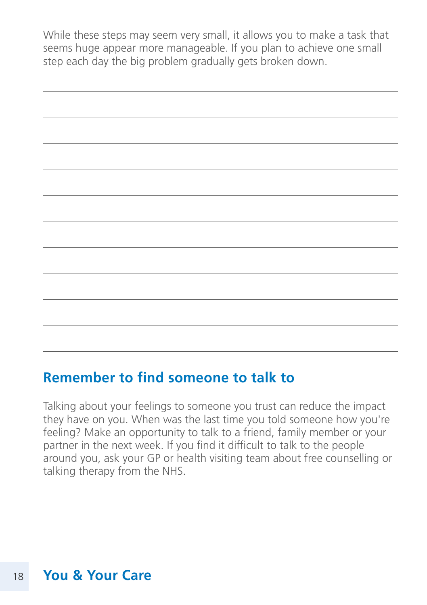While these steps may seem very small, it allows you to make a task that seems huge appear more manageable. If you plan to achieve one small step each day the big problem gradually gets broken down.

### **Remember to find someone to talk to**

Talking about your feelings to someone you trust can reduce the impact they have on you. When was the last time you told someone how you're feeling? Make an opportunity to talk to a friend, family member or your partner in the next week. If you find it difficult to talk to the people around you, ask your GP or health visiting team about free counselling or talking therapy from the NHS.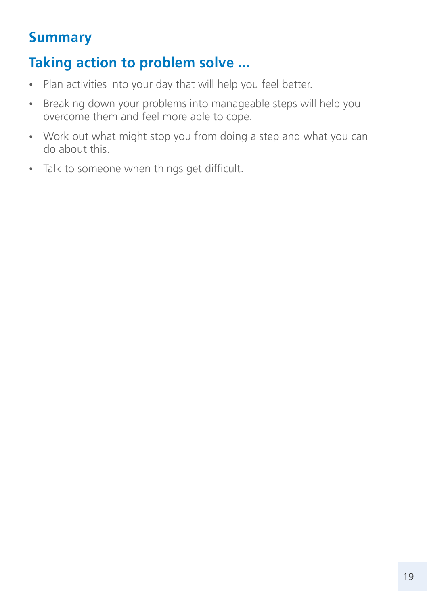### **Summary**

# **Taking action to problem solve ...**

- Plan activities into your day that will help you feel better.
- Breaking down your problems into manageable steps will help you overcome them and feel more able to cope.
- Work out what might stop you from doing a step and what you can do about this.
- Talk to someone when things get difficult.